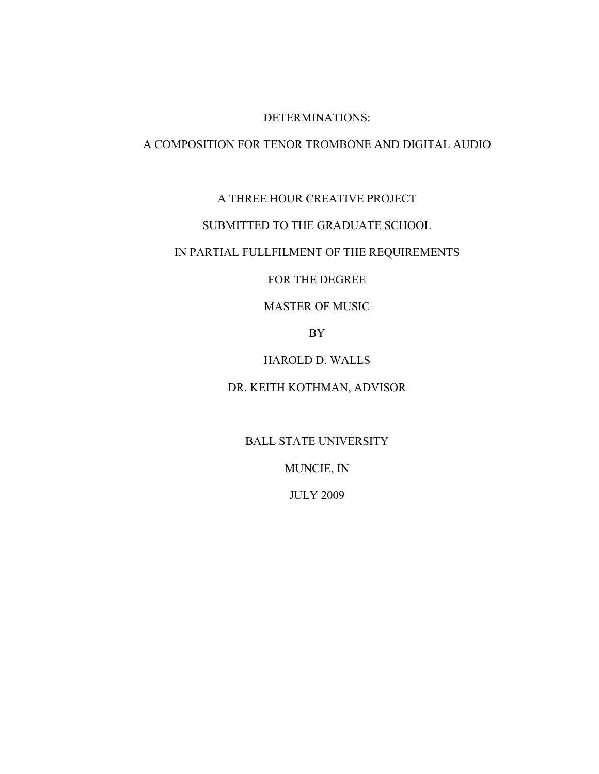#### DETERMINATIONS:

#### A COMPOSITION FOR TENOR TROMBONE AND DIGITAL AUDIO

## A THREE HOUR CREATIVE PROJECT

#### SUBMITTED TO THE GRADUATE SCHOOL

## IN PARTIAL FULLFILMENT OF THE REQUIREMENTS

#### FOR THE DEGREE

## MASTER OF MUSIC

BY

## HAROLD D. WALLS

## DR. KEITH KOTHMAN, ADVISOR

## BALL STATE UNIVERSITY

MUNCIE, IN

#### JULY 2009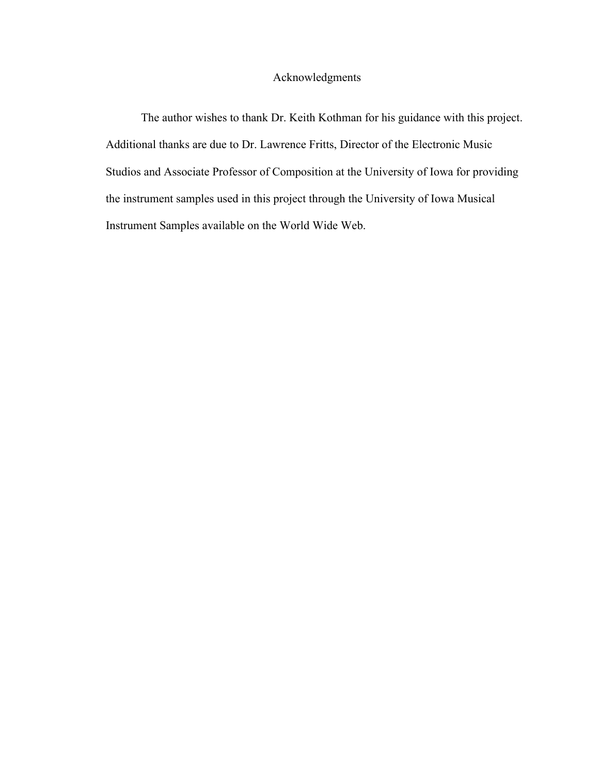## Acknowledgments

The author wishes to thank Dr. Keith Kothman for his guidance with this project. Additional thanks are due to Dr. Lawrence Fritts, Director of the Electronic Music Studios and Associate Professor of Composition at the University of Iowa for providing the instrument samples used in this project through the University of Iowa Musical Instrument Samples available on the World Wide Web.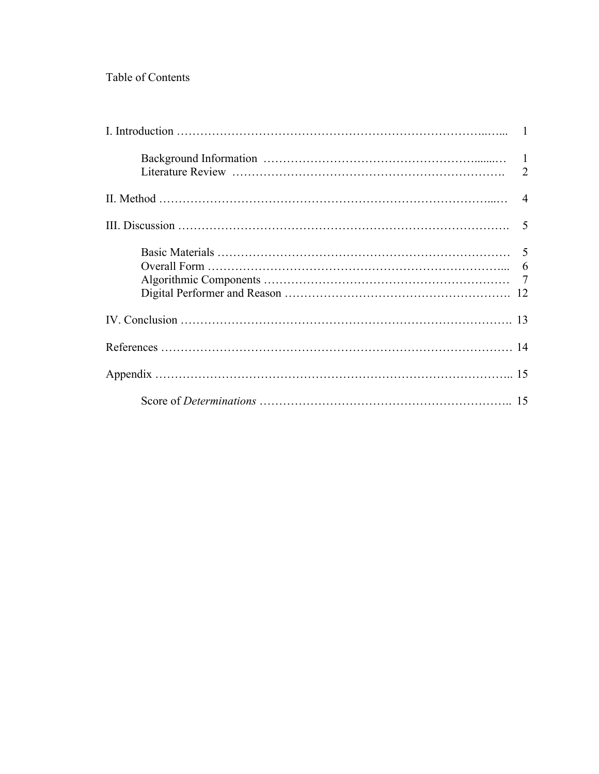## Table of Contents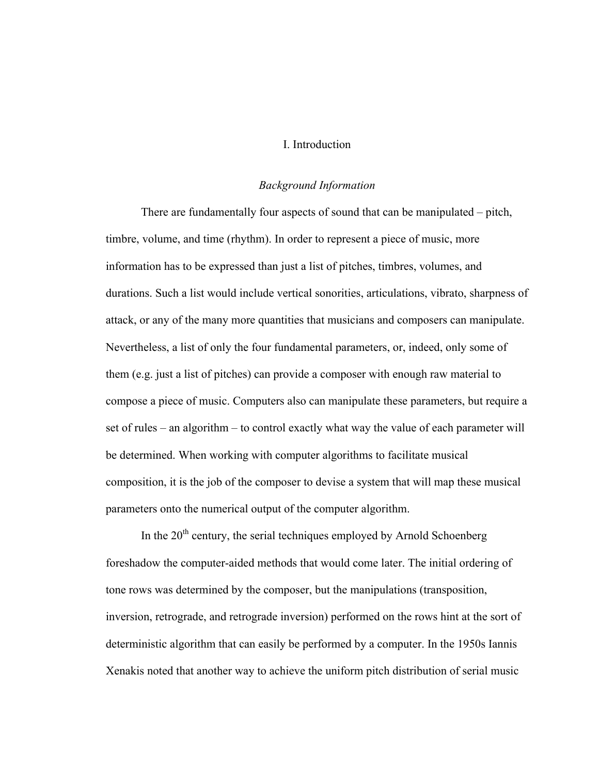## I. Introduction

#### *Background Information*

There are fundamentally four aspects of sound that can be manipulated – pitch, timbre, volume, and time (rhythm). In order to represent a piece of music, more information has to be expressed than just a list of pitches, timbres, volumes, and durations. Such a list would include vertical sonorities, articulations, vibrato, sharpness of attack, or any of the many more quantities that musicians and composers can manipulate. Nevertheless, a list of only the four fundamental parameters, or, indeed, only some of them (e.g. just a list of pitches) can provide a composer with enough raw material to compose a piece of music. Computers also can manipulate these parameters, but require a set of rules – an algorithm – to control exactly what way the value of each parameter will be determined. When working with computer algorithms to facilitate musical composition, it is the job of the composer to devise a system that will map these musical parameters onto the numerical output of the computer algorithm.

In the  $20<sup>th</sup>$  century, the serial techniques employed by Arnold Schoenberg foreshadow the computer-aided methods that would come later. The initial ordering of tone rows was determined by the composer, but the manipulations (transposition, inversion, retrograde, and retrograde inversion) performed on the rows hint at the sort of deterministic algorithm that can easily be performed by a computer. In the 1950s Iannis Xenakis noted that another way to achieve the uniform pitch distribution of serial music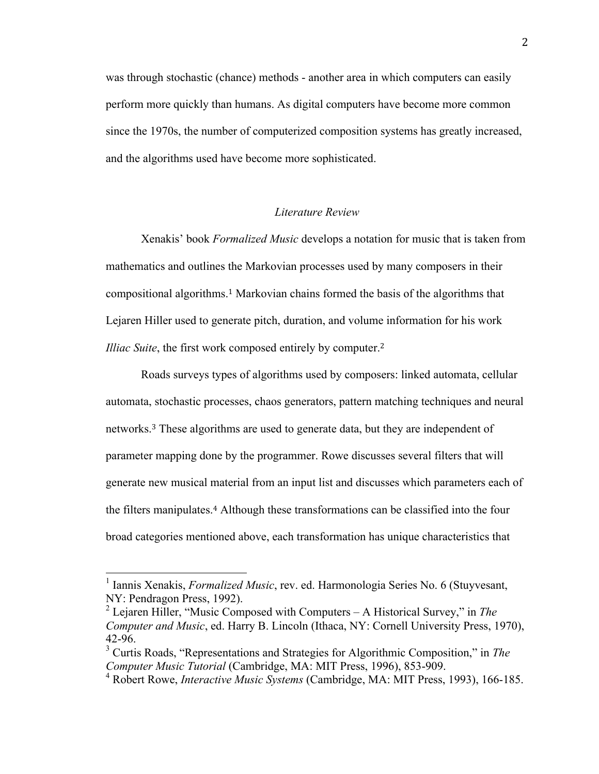was through stochastic (chance) methods - another area in which computers can easily perform more quickly than humans. As digital computers have become more common since the 1970s, the number of computerized composition systems has greatly increased, and the algorithms used have become more sophisticated.

#### *Literature Review*

Xenakis' book *Formalized Music* develops a notation for music that is taken from mathematics and outlines the Markovian processes used by many composers in their compositional algorithms.1 Markovian chains formed the basis of the algorithms that Lejaren Hiller used to generate pitch, duration, and volume information for his work *Illiac Suite*, the first work composed entirely by computer.<sup>2</sup>

Roads surveys types of algorithms used by composers: linked automata, cellular automata, stochastic processes, chaos generators, pattern matching techniques and neural networks.3 These algorithms are used to generate data, but they are independent of parameter mapping done by the programmer. Rowe discusses several filters that will generate new musical material from an input list and discusses which parameters each of the filters manipulates.4 Although these transformations can be classified into the four broad categories mentioned above, each transformation has unique characteristics that

 <sup>1</sup> Iannis Xenakis, *Formalized Music*, rev. ed. Harmonologia Series No. 6 (Stuyvesant, NY: Pendragon Press, 1992).

<sup>2</sup> Lejaren Hiller, "Music Composed with Computers – A Historical Survey," in *The Computer and Music*, ed. Harry B. Lincoln (Ithaca, NY: Cornell University Press, 1970), 42-96.

<sup>3</sup> Curtis Roads, "Representations and Strategies for Algorithmic Composition," in *The Computer Music Tutorial* (Cambridge, MA: MIT Press, 1996), 853-909.

<sup>4</sup> Robert Rowe, *Interactive Music Systems* (Cambridge, MA: MIT Press, 1993), 166-185.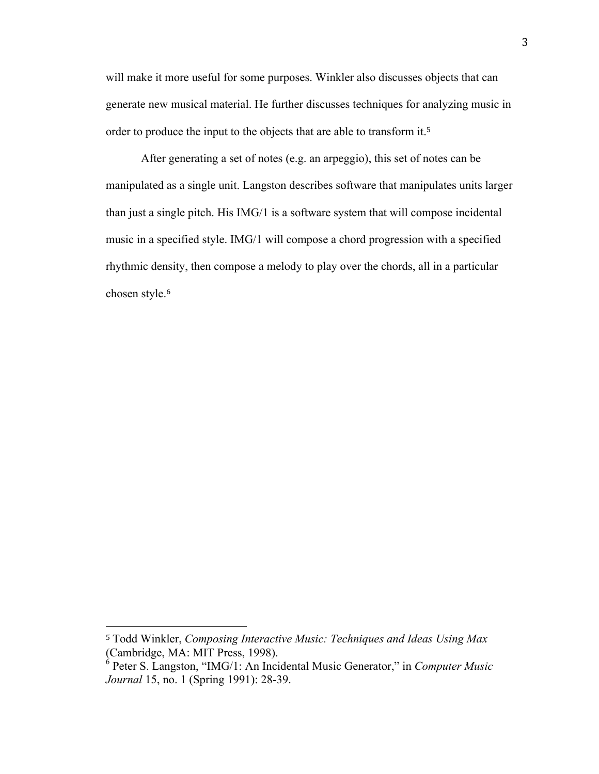will make it more useful for some purposes. Winkler also discusses objects that can generate new musical material. He further discusses techniques for analyzing music in order to produce the input to the objects that are able to transform it.<sup>5</sup>

After generating a set of notes (e.g. an arpeggio), this set of notes can be manipulated as a single unit. Langston describes software that manipulates units larger than just a single pitch. His IMG/1 is a software system that will compose incidental music in a specified style. IMG/1 will compose a chord progression with a specified rhythmic density, then compose a melody to play over the chords, all in a particular chosen style.<sup>6</sup>

<sup>5</sup> Todd Winkler, *Composing Interactive Music: Techniques and Ideas Using Max* (Cambridge, MA: MIT Press, 1998).

<sup>6</sup> Peter S. Langston, "IMG/1: An Incidental Music Generator," in *Computer Music Journal* 15, no. 1 (Spring 1991): 28-39.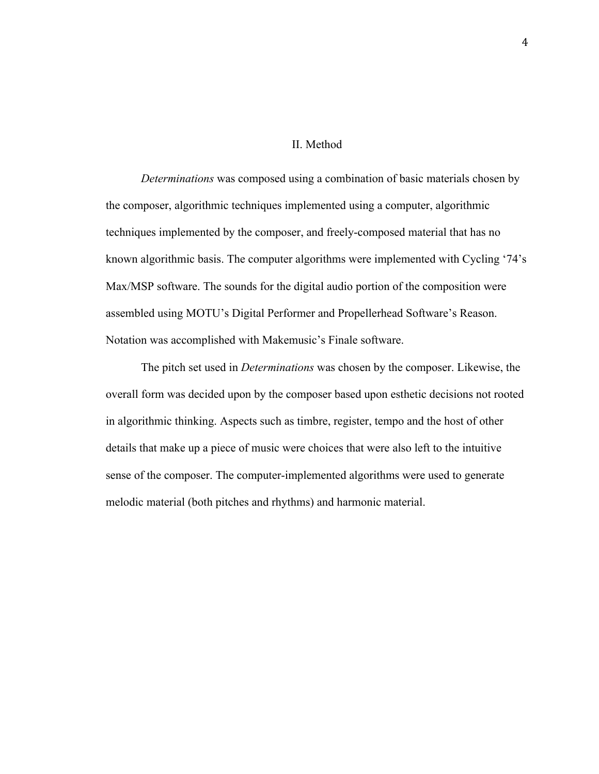#### II. Method

*Determinations* was composed using a combination of basic materials chosen by the composer, algorithmic techniques implemented using a computer, algorithmic techniques implemented by the composer, and freely-composed material that has no known algorithmic basis. The computer algorithms were implemented with Cycling '74's Max/MSP software. The sounds for the digital audio portion of the composition were assembled using MOTU's Digital Performer and Propellerhead Software's Reason. Notation was accomplished with Makemusic's Finale software.

The pitch set used in *Determinations* was chosen by the composer. Likewise, the overall form was decided upon by the composer based upon esthetic decisions not rooted in algorithmic thinking. Aspects such as timbre, register, tempo and the host of other details that make up a piece of music were choices that were also left to the intuitive sense of the composer. The computer-implemented algorithms were used to generate melodic material (both pitches and rhythms) and harmonic material.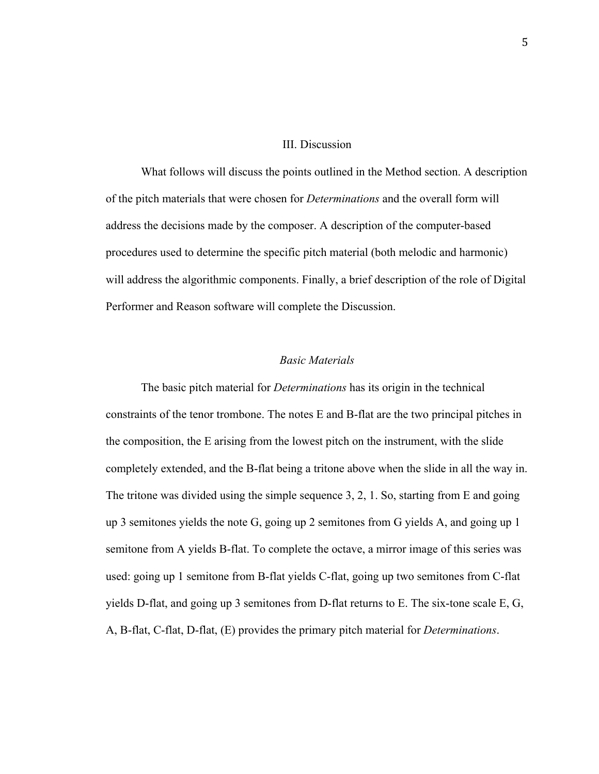#### III. Discussion

What follows will discuss the points outlined in the Method section. A description of the pitch materials that were chosen for *Determinations* and the overall form will address the decisions made by the composer. A description of the computer-based procedures used to determine the specific pitch material (both melodic and harmonic) will address the algorithmic components. Finally, a brief description of the role of Digital Performer and Reason software will complete the Discussion.

#### *Basic Materials*

The basic pitch material for *Determinations* has its origin in the technical constraints of the tenor trombone. The notes E and B-flat are the two principal pitches in the composition, the E arising from the lowest pitch on the instrument, with the slide completely extended, and the B-flat being a tritone above when the slide in all the way in. The tritone was divided using the simple sequence 3, 2, 1. So, starting from E and going up 3 semitones yields the note G, going up 2 semitones from G yields A, and going up 1 semitone from A yields B-flat. To complete the octave, a mirror image of this series was used: going up 1 semitone from B-flat yields C-flat, going up two semitones from C-flat yields D-flat, and going up 3 semitones from D-flat returns to E. The six-tone scale E, G, A, B-flat, C-flat, D-flat, (E) provides the primary pitch material for *Determinations*.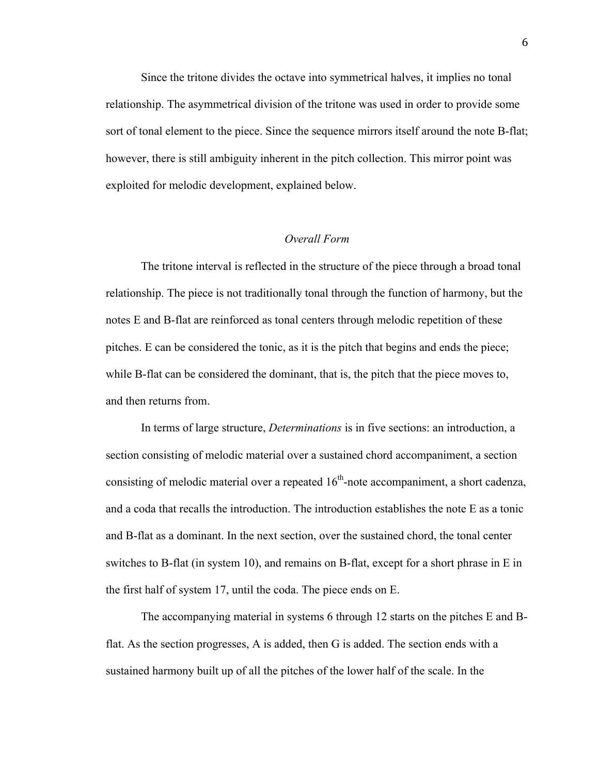Since the tritone divides the octave into symmetrical halves, it implies no tonal relationship. The asymmetrical division of the tritone was used in order to provide some sort of tonal element to the piece. Since the sequence mirrors itself around the note B-flat; however, there is still ambiguity inherent in the pitch collection. This mirror point was exploited for melodic development, explained below.

#### *Overall Form*

The tritone interval is reflected in the structure of the piece through a broad tonal relationship. The piece is not traditionally tonal through the function of harmony, but the notes E and B-flat are reinforced as tonal centers through melodic repetition of these pitches. E can be considered the tonic, as it is the pitch that begins and ends the piece; while B-flat can be considered the dominant, that is, the pitch that the piece moves to, and then returns from.

In terms of large structure, *Determinations* is in five sections: an introduction, a section consisting of melodic material over a sustained chord accompaniment, a section consisting of melodic material over a repeated  $16<sup>th</sup>$ -note accompaniment, a short cadenza, and a coda that recalls the introduction. The introduction establishes the note E as a tonic and B-flat as a dominant. In the next section, over the sustained chord, the tonal center switches to B-flat (in system 10), and remains on B-flat, except for a short phrase in E in the first half of system 17, until the coda. The piece ends on E.

The accompanying material in systems 6 through 12 starts on the pitches E and Bflat. As the section progresses, A is added, then G is added. The section ends with a sustained harmony built up of all the pitches of the lower half of the scale. In the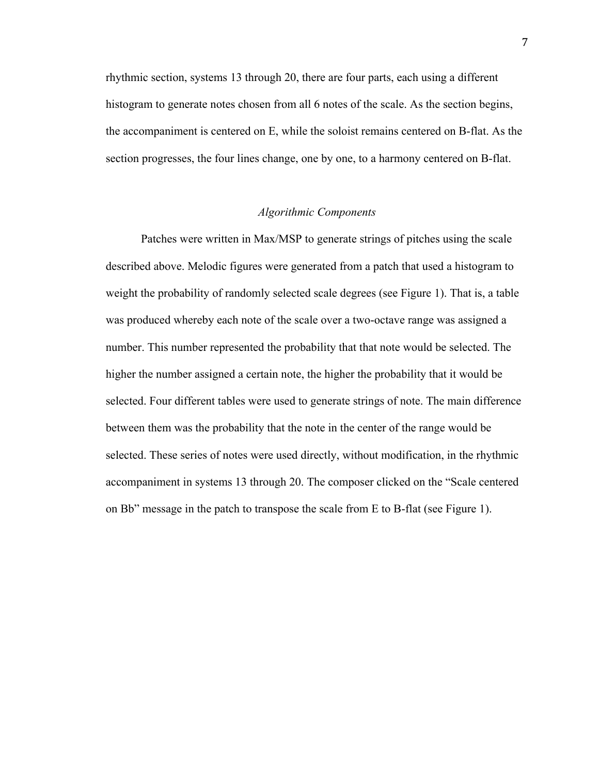rhythmic section, systems 13 through 20, there are four parts, each using a different histogram to generate notes chosen from all 6 notes of the scale. As the section begins, the accompaniment is centered on E, while the soloist remains centered on B-flat. As the section progresses, the four lines change, one by one, to a harmony centered on B-flat.

#### *Algorithmic Components*

Patches were written in Max/MSP to generate strings of pitches using the scale described above. Melodic figures were generated from a patch that used a histogram to weight the probability of randomly selected scale degrees (see Figure 1). That is, a table was produced whereby each note of the scale over a two-octave range was assigned a number. This number represented the probability that that note would be selected. The higher the number assigned a certain note, the higher the probability that it would be selected. Four different tables were used to generate strings of note. The main difference between them was the probability that the note in the center of the range would be selected. These series of notes were used directly, without modification, in the rhythmic accompaniment in systems 13 through 20. The composer clicked on the "Scale centered on Bb" message in the patch to transpose the scale from E to B-flat (see Figure 1).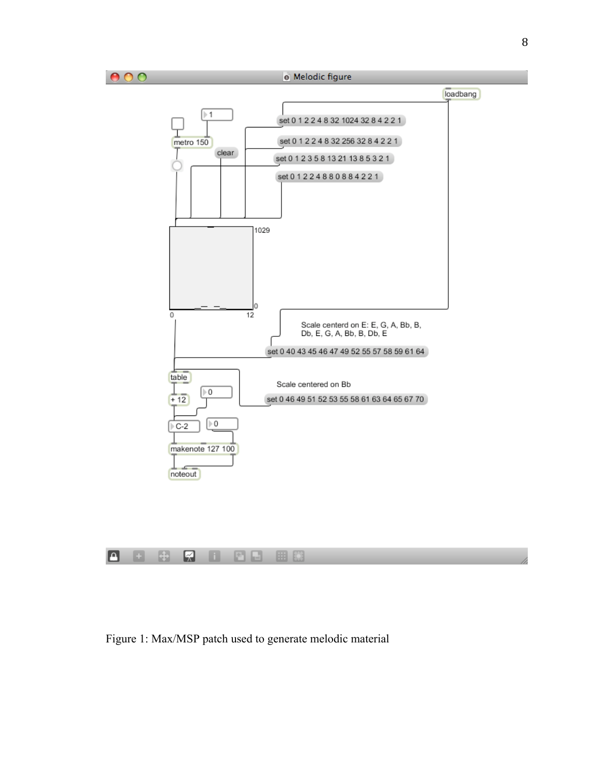





Figure 1: Max/MSP patch used to generate melodic material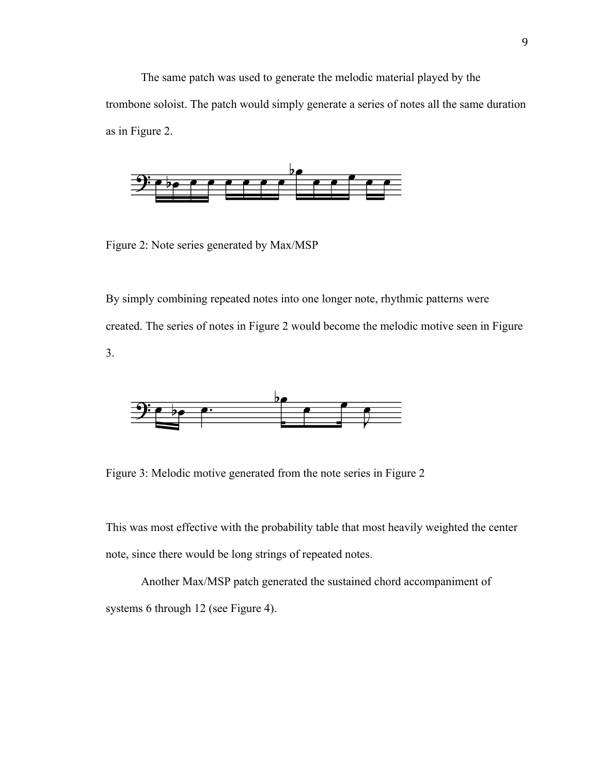The same patch was used to generate the melodic material played by the trombone soloist. The patch would simply generate a series of notes all the same duration as in Figure 2.



Figure 2: Note series generated by Max/MSP

By simply combining repeated notes into one longer note, rhythmic patterns were created. The series of notes in Figure 2 would become the melodic motive seen in Figure 3.



Figure 3: Melodic motive generated from the note series in Figure 2

This was most effective with the probability table that most heavily weighted the center note, since there would be long strings of repeated notes.

Another Max/MSP patch generated the sustained chord accompaniment of systems 6 through 12 (see Figure 4).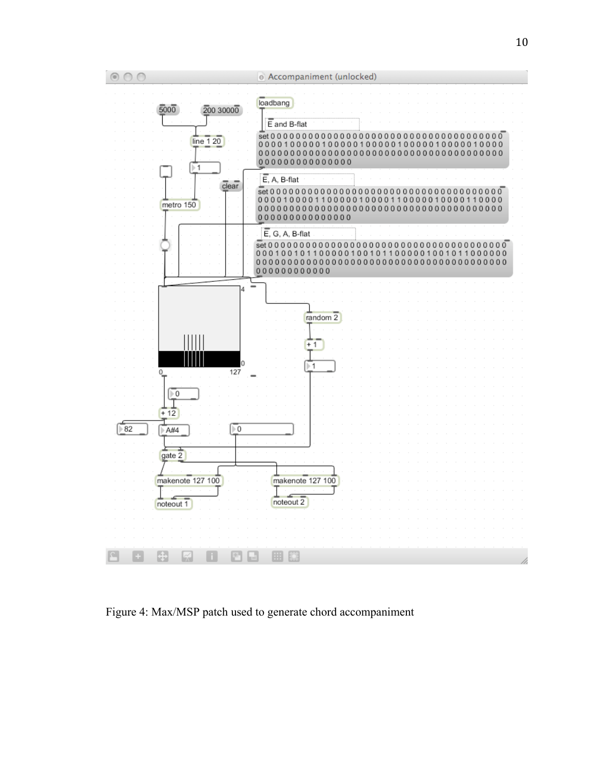

Figure 4: Max/MSP patch used to generate chord accompaniment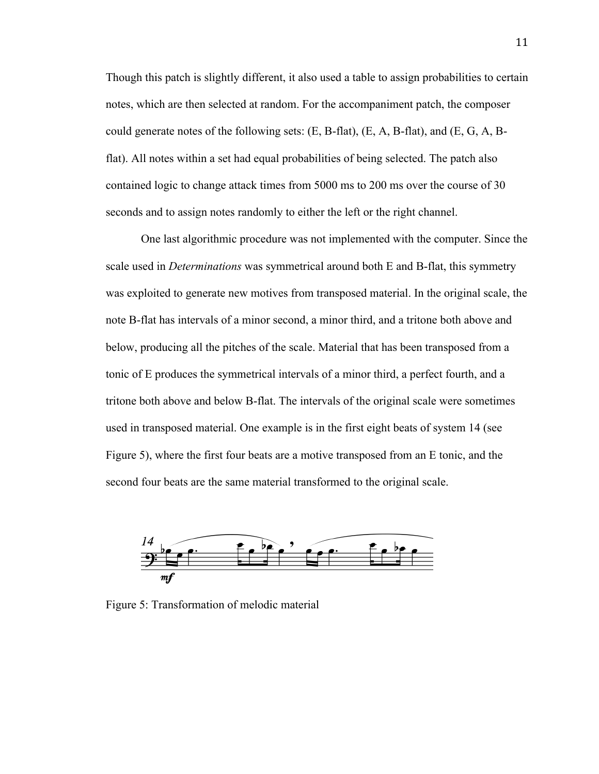Though this patch is slightly different, it also used a table to assign probabilities to certain notes, which are then selected at random. For the accompaniment patch, the composer could generate notes of the following sets:  $(E, B-flat)$ ,  $(E, A, B-flat)$ , and  $(E, G, A, B-flat)$ flat). All notes within a set had equal probabilities of being selected. The patch also contained logic to change attack times from 5000 ms to 200 ms over the course of 30 seconds and to assign notes randomly to either the left or the right channel.

One last algorithmic procedure was not implemented with the computer. Since the scale used in *Determinations* was symmetrical around both E and B-flat, this symmetry was exploited to generate new motives from transposed material. In the original scale, the note B-flat has intervals of a minor second, a minor third, and a tritone both above and below, producing all the pitches of the scale. Material that has been transposed from a tonic of E produces the symmetrical intervals of a minor third, a perfect fourth, and a tritone both above and below B-flat. The intervals of the original scale were sometimes used in transposed material. One example is in the first eight beats of system 14 (see Figure 5), where the first four beats are a motive transposed from an E tonic, and the second four beats are the same material transformed to the original scale.



Figure 5: Transformation of melodic material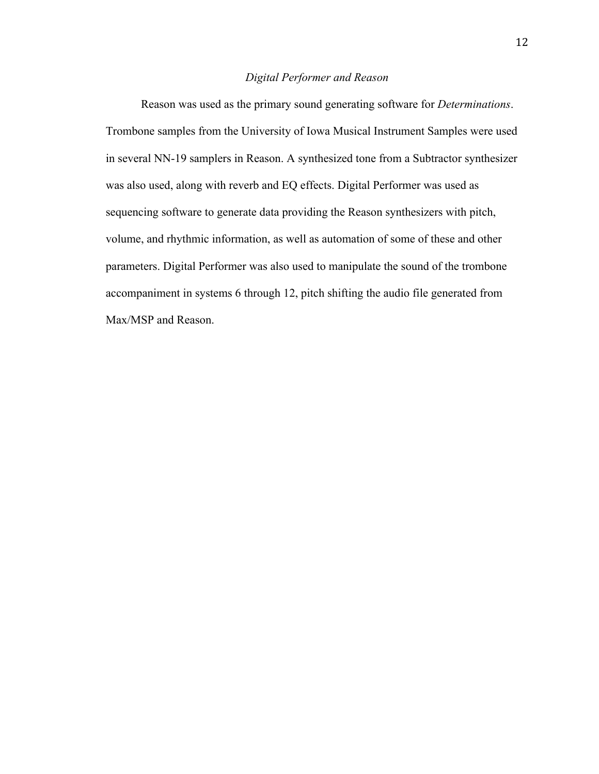#### *Digital Performer and Reason*

Reason was used as the primary sound generating software for *Determinations*. Trombone samples from the University of Iowa Musical Instrument Samples were used in several NN-19 samplers in Reason. A synthesized tone from a Subtractor synthesizer was also used, along with reverb and EQ effects. Digital Performer was used as sequencing software to generate data providing the Reason synthesizers with pitch, volume, and rhythmic information, as well as automation of some of these and other parameters. Digital Performer was also used to manipulate the sound of the trombone accompaniment in systems 6 through 12, pitch shifting the audio file generated from Max/MSP and Reason.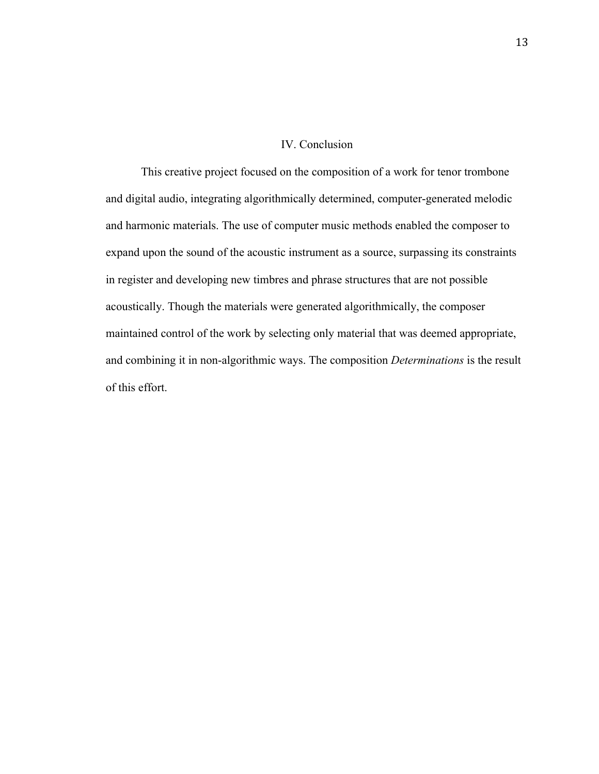#### IV. Conclusion

This creative project focused on the composition of a work for tenor trombone and digital audio, integrating algorithmically determined, computer-generated melodic and harmonic materials. The use of computer music methods enabled the composer to expand upon the sound of the acoustic instrument as a source, surpassing its constraints in register and developing new timbres and phrase structures that are not possible acoustically. Though the materials were generated algorithmically, the composer maintained control of the work by selecting only material that was deemed appropriate, and combining it in non-algorithmic ways. The composition *Determinations* is the result of this effort.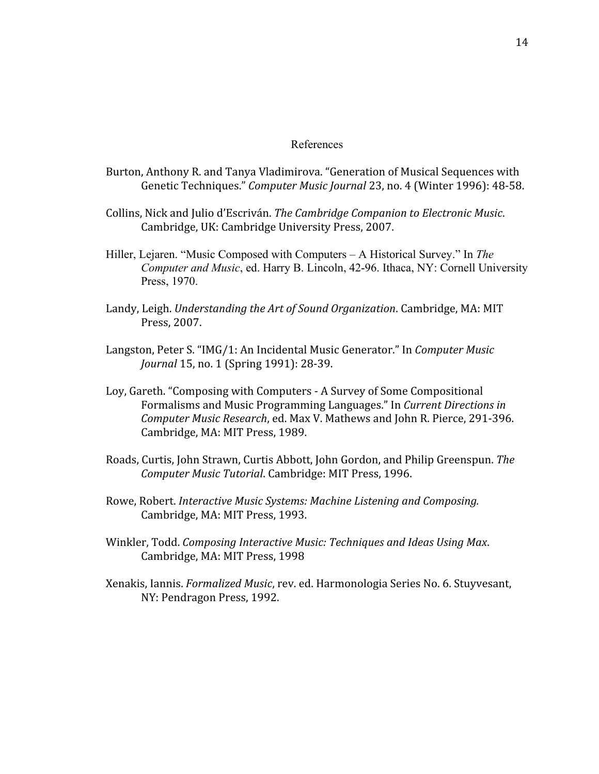#### References

- Burton, Anthony R. and Tanya Vladimirova. "Generation of Musical Sequences with Genetic Techniques." Computer Music Journal 23, no. 4 (Winter 1996): 48-58.
- Collins,
Nick
and
Julio
d'Escriván. *The
Cambridge
Companion
to
Electronic
Music*. Cambridge,
UK:
Cambridge
University
Press,
2007.
- Hiller, Lejaren. "Music Composed with Computers A Historical Survey." In *The Computer and Music*, ed. Harry B. Lincoln, 42-96. Ithaca, NY: Cornell University Press, 1970.
- Landy, Leigh. *Understanding the Art of Sound Organization*. Cambridge, MA: MIT Press,
2007.
- Langston,
Peter
S.
"IMG/1:
An
Incidental
Music
Generator."
In *Computer
Music Journal* 15, no. 1 (Spring 1991): 28-39.
- Loy,
Gareth.
"Composing
with
Computers
‐
A
Survey
of
Some
Compositional Formalisms
and
Music
Programming
Languages."
In *Current
Directions
in*  Computer Music Research, ed. Max V. Mathews and John R. Pierce, 291-396. Cambridge,
MA:
MIT
Press,
1989.
- Roads,
Curtis,
John
Strawn,
Curtis
Abbott,
John
Gordon,
and
Philip
Greenspun. *The Computer
Music
Tutorial*.
Cambridge:
MIT
Press,
1996.
- Rowe,
Robert. *Interactive
Music
Systems:
Machine
Listening
and
Composing.* Cambridge,
MA:
MIT
Press,
1993.
- Winkler, Todd. Composing Interactive Music: Techniques and Ideas Using Max. Cambridge,
MA:
MIT
Press,
1998
- Xenakis,
Iannis. *Formalized
Music*,
rev.
ed.
Harmonologia
Series
No.
6.
Stuyvesant, NY:
Pendragon
Press,
1992.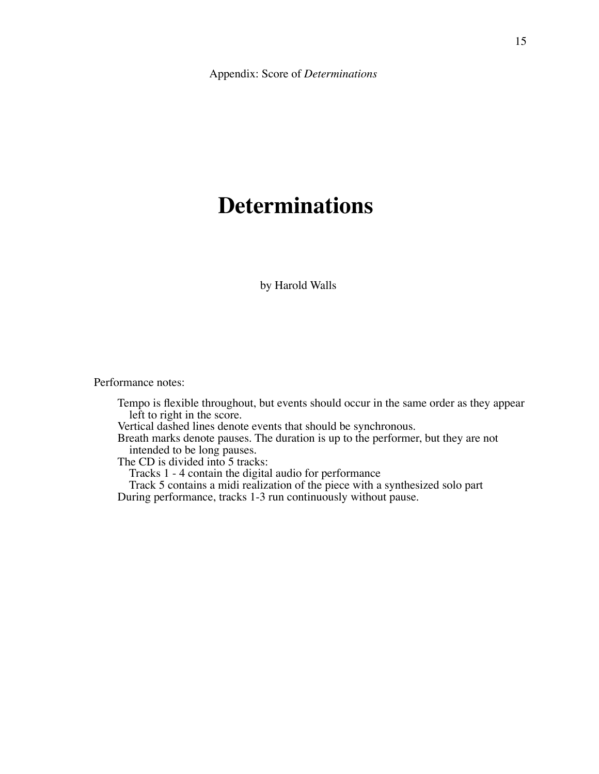# **Determinations**

by Harold Walls

Performance notes:

Tempo is flexible throughout, but events should occur in the same order as they appear left to right in the score.

Vertical dashed lines denote events that should be synchronous.

Breath marks denote pauses. The duration is up to the performer, but they are not intended to be long pauses.

The CD is divided into 5 tracks:

Tracks 1 - 4 contain the digital audio for performance

 Track 5 contains a midi realization of the piece with a synthesized solo part During performance, tracks 1-3 run continuously without pause.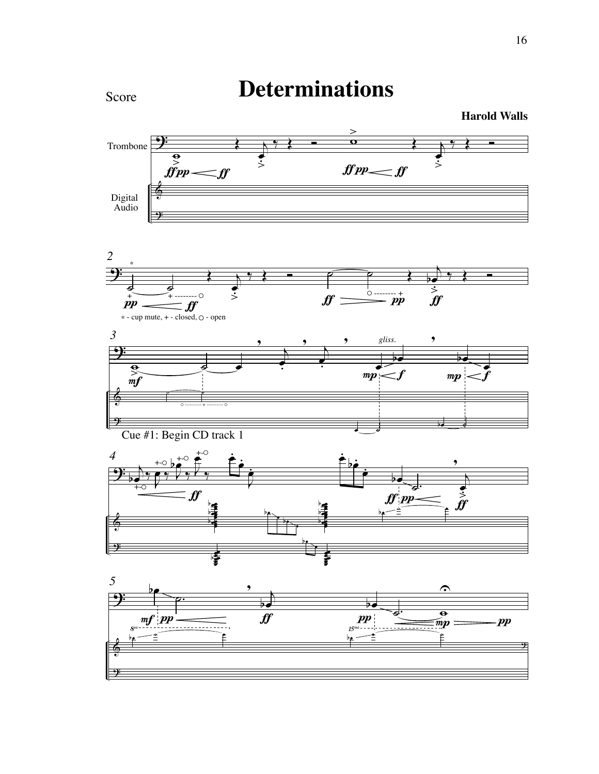

**Determinations**

16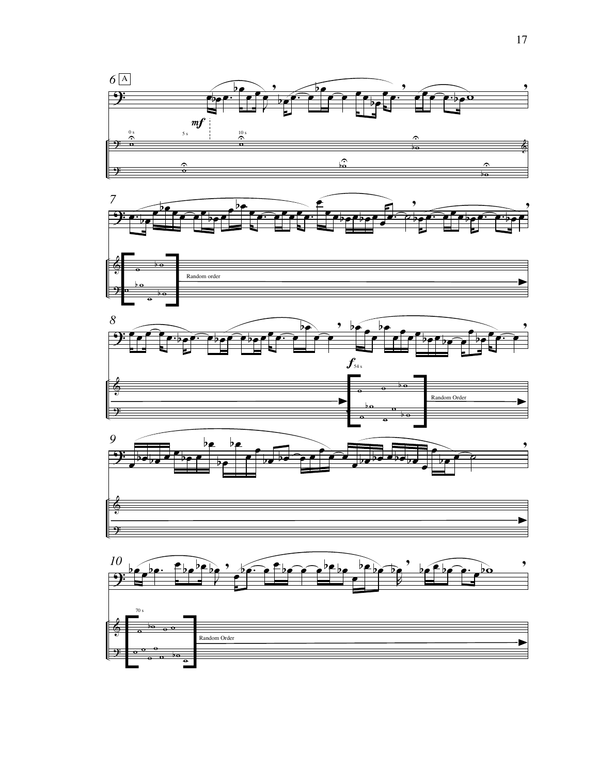

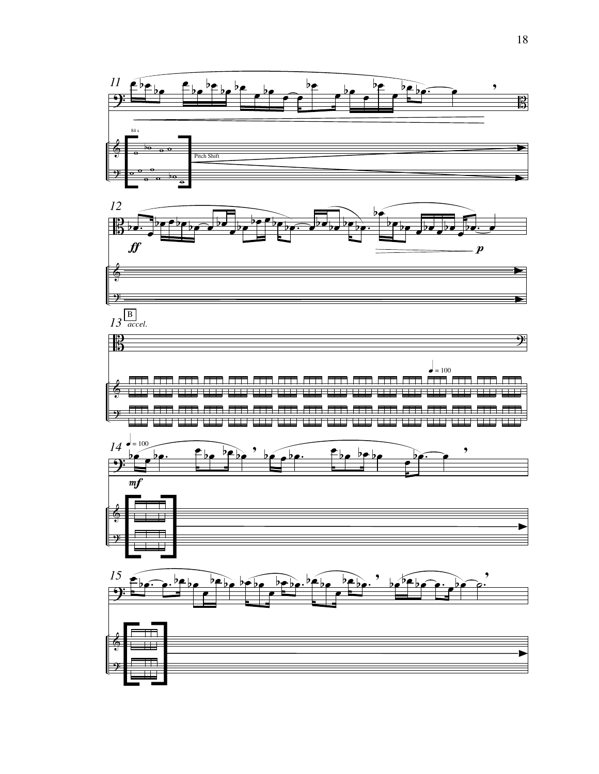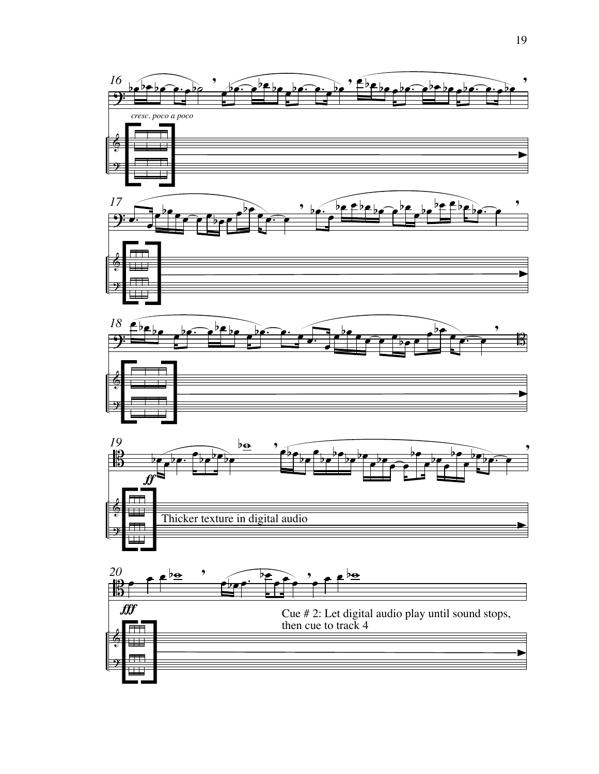